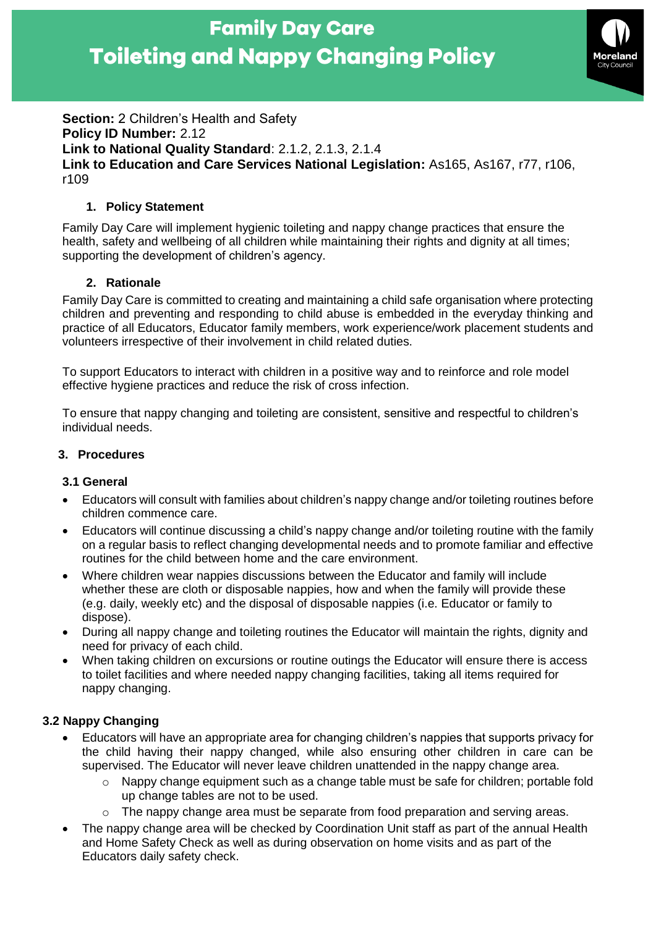

**Section:** 2 Children's Health and Safety **Policy ID Number:** 2.12 **Link to National Quality Standard**: 2.1.2, 2.1.3, 2.1.4 **Link to Education and Care Services National Legislation:** As165, As167, r77, r106, r109

### **1. Policy Statement**

Family Day Care will implement hygienic toileting and nappy change practices that ensure the health, safety and wellbeing of all children while maintaining their rights and dignity at all times; supporting the development of children's agency.

## **2. Rationale**

Family Day Care is committed to creating and maintaining a child safe organisation where protecting children and preventing and responding to child abuse is embedded in the everyday thinking and practice of all Educators, Educator family members, work experience/work placement students and volunteers irrespective of their involvement in child related duties.

To support Educators to interact with children in a positive way and to reinforce and role model effective hygiene practices and reduce the risk of cross infection.

To ensure that nappy changing and toileting are consistent, sensitive and respectful to children's individual needs.

### **3. Procedures**

### **3.1 General**

- Educators will consult with families about children's nappy change and/or toileting routines before children commence care.
- Educators will continue discussing a child's nappy change and/or toileting routine with the family on a regular basis to reflect changing developmental needs and to promote familiar and effective routines for the child between home and the care environment.
- Where children wear nappies discussions between the Educator and family will include whether these are cloth or disposable nappies, how and when the family will provide these (e.g. daily, weekly etc) and the disposal of disposable nappies (i.e. Educator or family to dispose).
- During all nappy change and toileting routines the Educator will maintain the rights, dignity and need for privacy of each child.
- When taking children on excursions or routine outings the Educator will ensure there is access to toilet facilities and where needed nappy changing facilities, taking all items required for nappy changing.

### **3.2 Nappy Changing**

- Educators will have an appropriate area for changing children's nappies that supports privacy for the child having their nappy changed, while also ensuring other children in care can be supervised. The Educator will never leave children unattended in the nappy change area.
	- $\circ$  Nappy change equipment such as a change table must be safe for children; portable fold up change tables are not to be used.
	- $\circ$  The nappy change area must be separate from food preparation and serving areas.
- The nappy change area will be checked by Coordination Unit staff as part of the annual Health and Home Safety Check as well as during observation on home visits and as part of the Educators daily safety check.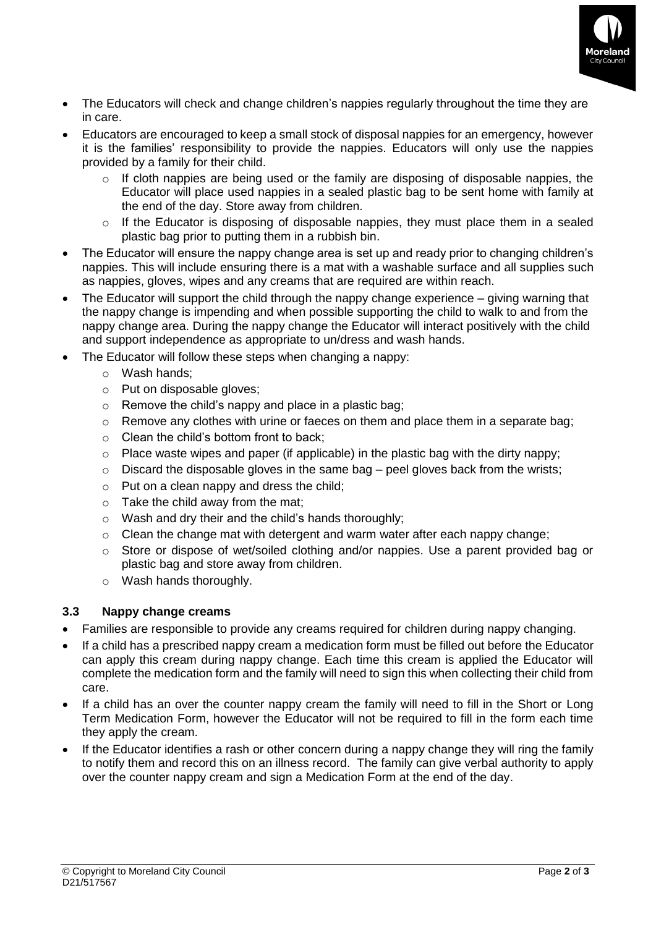

- The Educators will check and change children's nappies regularly throughout the time they are in care.
- Educators are encouraged to keep a small stock of disposal nappies for an emergency, however it is the families' responsibility to provide the nappies. Educators will only use the nappies provided by a family for their child.
	- $\circ$  If cloth nappies are being used or the family are disposing of disposable nappies, the Educator will place used nappies in a sealed plastic bag to be sent home with family at the end of the day. Store away from children.
	- o If the Educator is disposing of disposable nappies, they must place them in a sealed plastic bag prior to putting them in a rubbish bin.
- The Educator will ensure the nappy change area is set up and ready prior to changing children's nappies. This will include ensuring there is a mat with a washable surface and all supplies such as nappies, gloves, wipes and any creams that are required are within reach.
- The Educator will support the child through the nappy change experience giving warning that the nappy change is impending and when possible supporting the child to walk to and from the nappy change area. During the nappy change the Educator will interact positively with the child and support independence as appropriate to un/dress and wash hands.
- The Educator will follow these steps when changing a nappy:
	- o Wash hands;
	- o Put on disposable gloves;
	- $\circ$  Remove the child's nappy and place in a plastic bag;
	- $\circ$  Remove any clothes with urine or faeces on them and place them in a separate bag:
	- o Clean the child's bottom front to back;
	- $\circ$  Place waste wipes and paper (if applicable) in the plastic bag with the dirty nappy;
	- $\circ$  Discard the disposable gloves in the same bag peel gloves back from the wrists;
	- $\circ$  Put on a clean nappy and dress the child;
	- $\circ$  Take the child away from the mat:
	- o Wash and dry their and the child's hands thoroughly;
	- $\circ$  Clean the change mat with detergent and warm water after each nappy change:
	- o Store or dispose of wet/soiled clothing and/or nappies. Use a parent provided bag or plastic bag and store away from children.
	- o Wash hands thoroughly.

#### **3.3 Nappy change creams**

- Families are responsible to provide any creams required for children during nappy changing.
- If a child has a prescribed nappy cream a medication form must be filled out before the Educator can apply this cream during nappy change. Each time this cream is applied the Educator will complete the medication form and the family will need to sign this when collecting their child from care.
- If a child has an over the counter nappy cream the family will need to fill in the Short or Long Term Medication Form, however the Educator will not be required to fill in the form each time they apply the cream.
- If the Educator identifies a rash or other concern during a nappy change they will ring the family to notify them and record this on an illness record. The family can give verbal authority to apply over the counter nappy cream and sign a Medication Form at the end of the day.